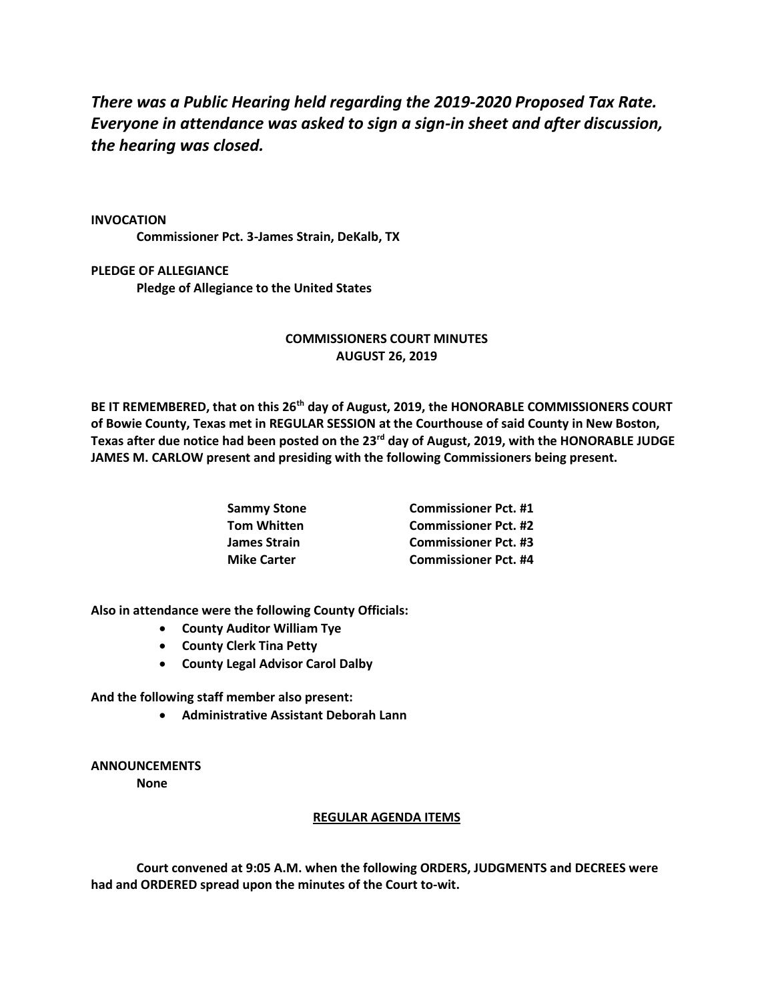*There was a Public Hearing held regarding the 2019-2020 Proposed Tax Rate. Everyone in attendance was asked to sign a sign-in sheet and after discussion, the hearing was closed.*

**INVOCATION Commissioner Pct. 3-James Strain, DeKalb, TX**

**PLEDGE OF ALLEGIANCE Pledge of Allegiance to the United States**

## **COMMISSIONERS COURT MINUTES AUGUST 26, 2019**

**BE IT REMEMBERED, that on this 26th day of August, 2019, the HONORABLE COMMISSIONERS COURT of Bowie County, Texas met in REGULAR SESSION at the Courthouse of said County in New Boston, Texas after due notice had been posted on the 23rd day of August, 2019, with the HONORABLE JUDGE JAMES M. CARLOW present and presiding with the following Commissioners being present.**

| Sammy Stone        | <b>Commissioner Pct. #1</b> |
|--------------------|-----------------------------|
| Tom Whitten        | <b>Commissioner Pct. #2</b> |
| James Strain       | <b>Commissioner Pct. #3</b> |
| <b>Mike Carter</b> | <b>Commissioner Pct. #4</b> |

**Also in attendance were the following County Officials:**

- **County Auditor William Tye**
- **County Clerk Tina Petty**
- **County Legal Advisor Carol Dalby**

**And the following staff member also present:**

• **Administrative Assistant Deborah Lann**

## **ANNOUNCEMENTS None**

## **REGULAR AGENDA ITEMS**

**Court convened at 9:05 A.M. when the following ORDERS, JUDGMENTS and DECREES were had and ORDERED spread upon the minutes of the Court to-wit.**